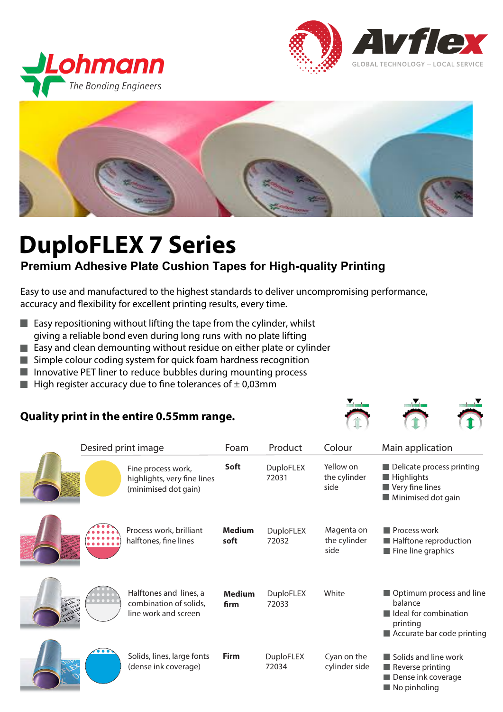





# **DuploFLEX 7 Series**

# **Premium Adhesive Plate Cushion Tapes for High-quality Printing**

Easy to use and manufactured to the highest standards to deliver uncompromising performance, accuracy and flexibility for excellent printing results, every time.

- $\blacksquare$  Easy repositioning without lifting the tape from the cylinder, whilst giving a reliable bond even during long runs with no plate lifting
- **Easy and clean demounting without residue on either plate or cylinder**
- Simple colour coding system for quick foam hardness recognition
- Innovative PET liner to reduce bubbles during mounting process
- **High register accuracy due to fine tolerances of**  $\pm$  **0,03mm**

## **Quality print in the entire 0.55mm range.**



|                   | Desired print image |                                                                           | Foam                  | Product                   | Colour                             | Main application                                                                                       |
|-------------------|---------------------|---------------------------------------------------------------------------|-----------------------|---------------------------|------------------------------------|--------------------------------------------------------------------------------------------------------|
|                   |                     | Fine process work,<br>highlights, very fine lines<br>(minimised dot gain) | Soft                  | <b>DuploFLEX</b><br>72031 | Yellow on<br>the cylinder<br>side  | Delicate process printing<br>Highlights<br>Very fine lines<br>Minimised dot gain                       |
|                   |                     | Process work, brilliant<br>halftones, fine lines                          | <b>Medium</b><br>soft | <b>DuploFLEX</b><br>72032 | Magenta on<br>the cylinder<br>side | Process work<br>Halftone reproduction<br>$\blacksquare$ Fine line graphics                             |
| <b>PLATA DRAW</b> |                     | Halftones and lines, a<br>combination of solids,<br>line work and screen  | <b>Medium</b><br>firm | <b>DuploFLEX</b><br>72033 | White                              | Optimum process and line<br>balance<br>Ideal for combination<br>printing<br>Accurate bar code printing |
|                   |                     | Solids, lines, large fonts<br>(dense ink coverage)                        | <b>Firm</b>           | <b>DuploFLEX</b><br>72034 | Cyan on the<br>cylinder side       | Solids and line work<br>Reverse printing<br>Dense ink coverage<br>No pinholing                         |